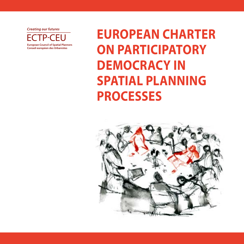**Creating our futures** 



**European Charter on Participatory Democracy in Spatial Planning Processes**

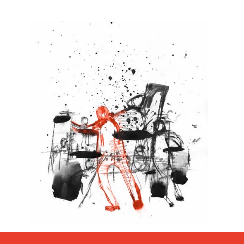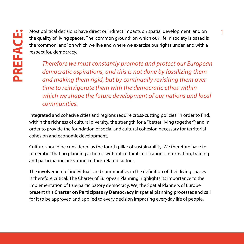Most political decisions have direct or indirect impacts on spatial development, and on the quality of living spaces. The 'common ground' on which our life in society is based is the 'common land' on which we live and where we exercise our rights under, and with a respect for, democracy.

1

*Therefore we must constantly promote and protect our European democratic aspirations, and this is not done by fossilizing them and making them rigid, but by continually revisiting them over time to reinvigorate them with the democratic ethos within which we shape the future development of our nations and local communities.*

Integrated and cohesive cities and regions require cross-cutting policies: in order to find, within the richness of cultural diversity, the strength for a "better living together"; and in order to provide the foundation of social and cultural cohesion necessary for territorial cohesion and economic development.

Culture should be considered as the fourth pillar of sustainability. We therefore have to remember that no planning action is without cultural implications. Information, training and participation are strong culture-related factors.

The involvement of individuals and communities in the definition of their living spaces is therefore critical. The Charter of European Planning highlights its importance to the implementation of true participatory democracy. We, the Spatial Planners of Europe present this **Charter on Participatory Democracy** in spatial planning processes and call for it to be approved and applied to every decision impacting everyday life of people.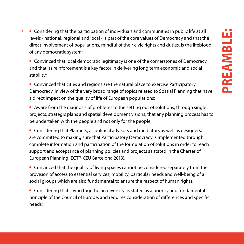**•** Considering that the participation of individuals and communities in public life at all levels - national, regional and local - is part of the core values of Democracy and that the direct involvement of populations, mindful of their civic rights and duties, is the lifeblood of any democratic system;  $\overline{2}$ 

**•** Convinced that local democratic legitimacy is one of the cornerstones of Democracy and that its reinforcement is a key factor in delivering long term economic and social stability;

**•** Convinced that cities and regions are the natural place to exercise Participatory Democracy, in view of the very broad range of topics related to Spatial Planning that have a direct impact on the quality of life of European populations;

**•** Aware from the diagnosis of problems to the setting out of solutions, through single projects, strategic plans and spatial development visions, that any planning process has to be undertaken with the people and not only for the people;

**•** Considering that Planners, as political advisors and mediators as well as designers, are committed to making sure that Participatory Democracy is implemented through complete information and participation of the formulation of solutions in order to reach support and acceptance of planning policies and projects as stated in the Charter of European Planning (ECTP-CEU Barcelona 2013);

**•** Convinced that the quality of living spaces cannot be considered separately from the provision of access to essential services, mobility, particular needs and well-being of all social groups which are also fundamental to ensure the respect of human rights;

**•** Considering that 'living together in diversity' is stated as a priority and fundamental principle of the Council of Europe, and requires consideration of differences and specific needs;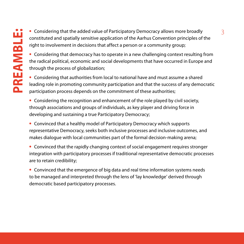**•** Considering that the added value of Participatory Democracy allows more broadly constituted and spatially sensitive application of the Aarhus Convention principles of the right to involvement in decisions that affect a person or a community group;

**•** Considering that democracy has to operate in a new challenging context resulting from the radical political, economic and social developments that have occurred in Europe and through the process of globalization;

**•** Considering that authorities from local to national have and must assume a shared leading role in promoting community participation and that the success of any democratic participation process depends on the commitment of these authorities;

**•** Considering the recognition and enhancement of the role played by civil society, through associations and groups of individuals, as key player and driving force in developing and sustaining a true Participatory Democracy;

**•** Convinced that a healthy model of Participatory Democracy which supports representative Democracy, seeks both inclusive processes and inclusive outcomes, and makes dialogue with local communities part of the formal decision-making arena;

**•** Convinced that the rapidly changing context of social engagement requires stronger integration with participatory processes if traditional representative democratic processes are to retain credibility;

**•** Convinced that the emergence of big data and real time information systems needs to be managed and interpreted through the lens of 'lay knowledge' derived through democratic based participatory processes.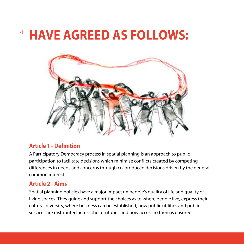# **Have agreed as follows:** <sup>4</sup>



#### **Article 1 - Definition**

A Participatory Democracy process in spatial planning is an approach to public participation to facilitate decisions which minimise conflicts created by competing differences in needs and concerns through co-produced decisions driven by the general common interest.

# **Article 2 - Aims**

Spatial planning policies have a major impact on people's quality of life and quality of living spaces. They guide and support the choices as to where people live, express their cultural diversity, where business can be established, how public utilities and public services are distributed across the territories and how access to them is ensured.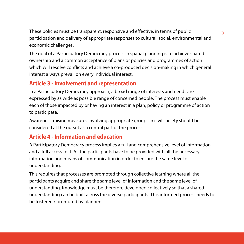These policies must be transparent, responsive and effective, in terms of public participation and delivery of appropriate responses to cultural, social, environmental and economic challenges.

The goal of a Participatory Democracy process in spatial planning is to achieve shared ownership and a common acceptance of plans or policies and programmes of action which will resolve conflicts and achieve a co-produced decision-making in which general interest always prevail on every individual interest.

# **Article 3 - Involvement and representation**

In a Participatory Democracy approach, a broad range of interests and needs are expressed by as wide as possible range of concerned people. The process must enable each of those impacted by or having an interest in a plan, policy or programme of action to participate.

Awareness-raising measures involving appropriate groups in civil society should be considered at the outset as a central part of the process.

# **Article 4 - Information and education**

A Participatory Democracy process implies a full and comprehensive level of information and a full access to it. All the participants have to be provided with all the necessary information and means of communication in order to ensure the same level of understanding.

This requires that processes are promoted through collective learning where all the participants acquire and share the same level of information and the same level of understanding. Knowledge must be therefore developed collectively so that a shared understanding can be built across the diverse participants. This informed process needs to be fostered / promoted by planners.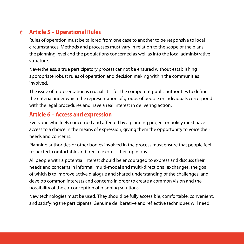#### **Article 5 – Operational Rules**  6

Rules of operation must be tailored from one case to another to be responsive to local circumstances. Methods and processes must vary in relation to the scope of the plans, the planning level and the populations concerned as well as into the local administrative structure.

Nevertheless, a true participatory process cannot be ensured without establishing appropriate robust rules of operation and decision making within the communities involved.

The issue of representation is crucial. It is for the competent public authorities to define the criteria under which the representation of groups of people or individuals corresponds with the legal procedures and have a real interest in delivering action.

# **Article 6 – Access and expression**

Everyone who feels concerned and affected by a planning project or policy must have access to a choice in the means of expression, giving them the opportunity to voice their needs and concerns.

Planning authorities or other bodies involved in the process must ensure that people feel respected, comfortable and free to express their opinions.

All people with a potential interest should be encouraged to express and discuss their needs and concerns in informal, multi-modal and multi-directional exchanges, the goal of which is to improve active dialogue and shared understanding of the challenges, and develop common interests and concerns in order to create a common vision and the possibility of the co-conception of planning solutions.

New technologies must be used. They should be fully accessible, comfortable, convenient, and satisfying the participants. Genuine deliberative and reflective techniques will need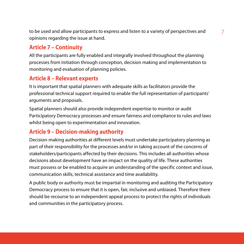to be used and allow participants to express and listen to a variety of perspectives and opinions regarding the issue at hand.

# **Article 7 – Continuity**

All the participants are fully enabled and integrally involved throughout the planning processes from initiation through conception, decision making and implementation to monitoring and evaluation of planning policies.

# **Article 8 – Relevant experts**

It is important that spatial planners with adequate skills as facilitators provide the professional technical support required to enable the full representation of participants' arguments and proposals.

Spatial planners should also provide independent expertise to monitor or audit Participatory Democracy processes and ensure fairness and compliance to rules and laws whilst being open to experimentation and innovation.

# **Article 9 – Decision-making authority**

Decision-making authorities at different levels must undertake participatory planning as part of their responsibility for the processes and/or in taking account of the concerns of stakeholders/participants affected by their decisions. This includes all authorities whose decisions about development have an impact on the quality of life. These authorities must possess or be enabled to acquire an understanding of the specific context and issue, communication skills, technical assistance and time availability.

A public body or authority must be impartial in monitoring and auditing the Participatory Democracy process to ensure that it is open, fair, inclusive and unbiased. Therefore there should be recourse to an independent appeal process to protect the rights of individuals and communities in the participatory process.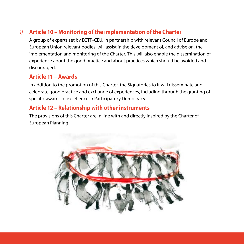#### **Article 10 – Monitoring of the implementation of the Charter** 8

A group of experts set by ECTP-CEU, in partnership with relevant Council of Europe and European Union relevant bodies, will assist in the development of, and advise on, the implementation and monitoring of the Charter. This will also enable the dissemination of experience about the good practice and about practices which should be avoided and discouraged.

### **Article 11 – Awards**

In addition to the promotion of this Charter, the Signatories to it will disseminate and celebrate good practice and exchange of experiences, including through the granting of specific awards of excellence in Participatory Democracy.

# **Article 12 – Relationship with other instruments**

The provisions of this Charter are in line with and directly inspired by the Charter of European Planning.